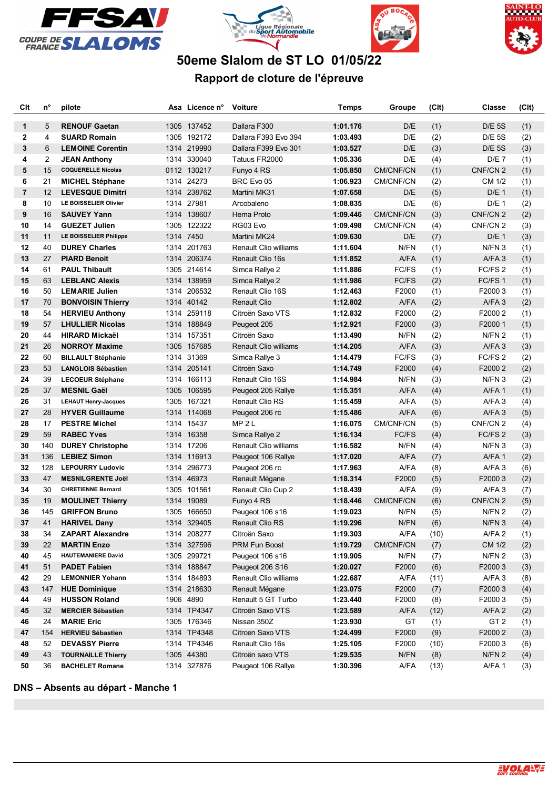







## **50eme Slalom de ST LO 01/05/22**

## **Rapport de cloture de l'épreuve**

| Clt            | n°     | pilote                                         |      | Asa Licence n° | <b>Voiture</b>                       | Temps    | Groupe       | (C <sub>It</sub> ) | Classe              | (CIt) |
|----------------|--------|------------------------------------------------|------|----------------|--------------------------------------|----------|--------------|--------------------|---------------------|-------|
|                | 5      |                                                |      |                |                                      |          |              |                    |                     |       |
| 1              |        | <b>RENOUF Gaetan</b>                           |      | 1305 137452    | Dallara F300<br>Dallara F393 Evo 394 | 1:01.176 | D/E          | (1)                | <b>D/E 5S</b>       | (1)   |
| 2              | 4<br>6 | <b>SUARD Romain</b><br><b>LEMOINE Corentin</b> |      | 1305 192172    |                                      | 1:03.493 | D/E<br>D/E   | (2)                | <b>D/E 5S</b>       | (2)   |
| 3              |        |                                                |      | 1314 219990    | Dallara F399 Evo 301                 | 1:03.527 |              | (3)                | <b>D/E 5S</b>       | (3)   |
| 4              | 2      | <b>JEAN Anthony</b>                            |      | 1314 330040    | Tatuus FR2000                        | 1:05.336 | D/E          | (4)                | D/E 7               | (1)   |
| 5              | 15     | <b>COQUERELLE Nicolas</b>                      |      | 0112 130217    | Funyo 4 RS                           | 1:05.850 | CM/CNF/CN    | (1)                | CNF/CN <sub>2</sub> | (1)   |
| 6              | 21     | <b>MICHEL Stéphane</b>                         |      | 1314 24273     | BRC Evo 05                           | 1:06.923 | CM/CNF/CN    | (2)                | CM 1/2              | (1)   |
| $\overline{7}$ | 12     | <b>LEVESQUE Dimitri</b>                        |      | 1314 238762    | Martini MK31                         | 1:07.658 | D/E          | (5)                | D/E <sub>1</sub>    | (1)   |
| 8              | 10     | <b>LE BOISSELIER Olivier</b>                   |      | 1314 27981     | Arcobaleno                           | 1:08.835 | D/E          | (6)                | D/E <sub>1</sub>    | (2)   |
| 9              | 16     | <b>SAUVEY Yann</b>                             |      | 1314 138607    | Hema Proto                           | 1:09.446 | CM/CNF/CN    | (3)                | CNF/CN <sub>2</sub> | (2)   |
| 10             | 14     | <b>GUEZET Julien</b>                           |      | 1305 122322    | RG03 Evo                             | 1:09.498 | CM/CNF/CN    | (4)                | CNF/CN <sub>2</sub> | (3)   |
| 11             | 11     | LE BOISSELIER Philippe                         |      | 1314 7450      | Martini MK24                         | 1:09.630 | D/E          | (7)                | D/E <sub>1</sub>    | (3)   |
| 12             | 40     | <b>DUREY Charles</b>                           |      | 1314 201763    | Renault Clio williams                | 1:11.604 | N/FN         | (1)                | N/FN 3              | (1)   |
| 13             | 27     | <b>PIARD Benoit</b>                            |      | 1314 206374    | Renault Clio 16s                     | 1:11.852 | A/FA         | (1)                | A/FA3               | (1)   |
| 14             | 61     | <b>PAUL Thibault</b>                           |      | 1305 214614    | Simca Rallye 2                       | 1:11.886 | FC/FS        | (1)                | FC/FS <sub>2</sub>  | (1)   |
| 15             | 63     | <b>LEBLANC Alexis</b>                          |      | 1314 138959    | Simca Rallye 2                       | 1:11.986 | <b>FC/FS</b> | (2)                | FC/FS1              | (1)   |
| 16             | 50     | <b>LEMARIE Julien</b>                          |      | 1314 206532    | Renault Clio 16S                     | 1:12.463 | F2000        | (1)                | F20003              | (1)   |
| 17             | 70     | <b>BONVOISIN Thierry</b>                       |      | 1314 40142     | <b>Renault Clio</b>                  | 1:12.802 | A/FA         | (2)                | A/FA3               | (2)   |
| 18             | 54     | <b>HERVIEU Anthony</b>                         |      | 1314 259118    | Citroën Saxo VTS                     | 1:12.832 | F2000        | (2)                | F2000 2             | (1)   |
| 19             | 57     | <b>LHULLIER Nicolas</b>                        |      | 1314 188849    | Peugeot 205                          | 1:12.921 | F2000        | (3)                | F20001              | (1)   |
| 20             | 44     | <b>HIRARD Mickaël</b>                          |      | 1314 157351    | Citroën Saxo                         | 1:13.490 | N/FN         | (2)                | N/FN <sub>2</sub>   | (1)   |
| 21             | 26     | <b>NORROY Maxime</b>                           |      | 1305 157685    | <b>Renault Clio williams</b>         | 1:14.205 | A/FA         | (3)                | A/FA3               | (3)   |
| 22             | 60     | <b>BILLAULT Stéphanie</b>                      |      | 1314 31369     | Simca Rallye 3                       | 1:14.479 | FC/FS        | (3)                | FC/FS <sub>2</sub>  | (2)   |
| 23             | 53     | <b>LANGLOIS Sébastien</b>                      |      | 1314 205141    | Citroën Saxo                         | 1:14.749 | F2000        | (4)                | F20002              | (2)   |
| 24             | 39     | <b>LECOEUR Stéphane</b>                        |      | 1314 166113    | Renault Clio 16S                     | 1:14.984 | N/FN         | (3)                | N/FN 3              | (2)   |
| 25             | 37     | <b>MESNIL Gaël</b>                             |      | 1305 106595    | Peugeot 205 Rallye                   | 1:15.351 | A/FA         | (4)                | A/FA1               | (1)   |
| 26             | 31     | <b>LEHAUT Henry-Jacques</b>                    |      | 1305 167321    | Renault Clio RS                      | 1:15.459 | A/FA         | (5)                | A/FA3               | (4)   |
| 27             | 28     | <b>HYVER Guillaume</b>                         |      | 1314 114068    | Peugeot 206 rc                       | 1:15.486 | A/FA         | (6)                | A/FA3               | (5)   |
| 28             | 17     | <b>PESTRE Michel</b>                           |      | 1314 15437     | MP 2 L                               | 1:16.075 | CM/CNF/CN    | (5)                | CNF/CN 2            | (4)   |
| 29             | 59     | <b>RABEC Yves</b>                              |      | 1314 16358     | Simca Rallye 2                       | 1:16.134 | <b>FC/FS</b> | (4)                | FC/FS 2             | (3)   |
| 30             | 140    | <b>DUREY Christophe</b>                        |      | 1314 17206     | Renault Clio williams                | 1:16.582 | N/FN         | (4)                | N/FN 3              | (3)   |
| 31             | 136    | <b>LEBIEZ Simon</b>                            |      | 1314 116913    | Peugeot 106 Rallye                   | 1:17.020 | A/FA         | (7)                | A/FA1               | (2)   |
| 32             | 128    | <b>LEPOURRY Ludovic</b>                        | 1314 | 296773         | Peugeot 206 rc                       | 1:17.963 | A/FA         | (8)                | A/FA3               | (6)   |
| 33             | 47     | <b>MESNILGRENTE Joël</b>                       |      | 1314 46973     | Renault Mégane                       | 1:18.314 | F2000        | (5)                | F20003              | (2)   |
| 34             | 30     | <b>CHRETIENNE Bernard</b>                      |      | 1305 101561    | Renault Clio Cup 2                   | 1:18.439 | A/FA         | (9)                | A/FA3               | (7)   |
| 35             | 19     | <b>MOULINET Thierry</b>                        |      | 1314 19089     | Funyo 4 RS                           | 1:18.446 | CM/CNF/CN    | (6)                | CNF/CN <sub>2</sub> | (5)   |
| 36             | 145    | <b>GRIFFON Bruno</b>                           |      | 1305 166650    | Peugeot 106 s16                      | 1:19.023 | N/FN         | (5)                | N/FN <sub>2</sub>   | (2)   |
| 37             | 41     | <b>HARIVEL Dany</b>                            |      | 1314 329405    | Renault Clio RS                      | 1:19.296 | N/FN         | (6)                | N/FN <sub>3</sub>   | (4)   |
| 38             | 34     | <b>ZAPART Alexandre</b>                        |      | 1314 208277    | Citroën Saxo                         | 1:19.303 | A/FA         | (10)               | A/FA 2              | (1)   |
| 39             | 22     | <b>MARTIN Enzo</b>                             |      | 1314 327596    | PRM Fun Boost                        | 1:19.729 | CM/CNF/CN    | (7)                | CM 1/2              | (2)   |
| 40             | 45     | <b>HAUTEMANIERE David</b>                      |      | 1305 299721    | Peugeot 106 s16                      | 1:19.905 | N/FN         | (7)                | N/FN 2              | (3)   |
| 41             | 51     | <b>PADET Fabien</b>                            |      | 1314 188847    | Peugeot 206 S16                      | 1:20.027 | F2000        | (6)                | F20003              | (3)   |
| 42             | 29     | <b>LEMONNIER Yohann</b>                        |      | 1314 184893    | Renault Clio williams                | 1:22.687 | A/FA         | (11)               | A/FA3               | (8)   |
| 43             | 147    | <b>HUE Dominique</b>                           |      | 1314 218630    | Renault Mégane                       | 1:23.075 | F2000        | (7)                | F20003              | (4)   |
| 44             | 49     | <b>HUSSON Roland</b>                           |      | 1906 4890      | Renault 5 GT Turbo                   | 1:23.440 | F2000        | (8)                | F20003              | (5)   |
| 45             | 32     | <b>MERCIER Sébastien</b>                       |      | 1314 TP4347    | Citroën Saxo VTS                     | 1:23.589 | A/FA         | (12)               | A/FA 2              | (2)   |
| 46             | 24     | <b>MARIE Eric</b>                              |      | 1305 176346    | Nissan 350Z                          | 1:23.930 | GT           | (1)                | GT <sub>2</sub>     | (1)   |
| 47             | 154    | <b>HERVIEU Sébastien</b>                       |      | 1314 TP4348    | Citroen Saxo VTS                     | 1:24.499 | F2000        | (9)                | F2000 2             | (3)   |
| 48             | 52     | <b>DEVASSY Pierre</b>                          |      | 1314 TP4346    | Renault Clio 16s                     | 1:25.105 | F2000        | (10)               | F20003              | (6)   |
| 49             | 43     | <b>TOURNAILLE Thierry</b>                      |      | 1305 44380     | Citroën saxo VTS                     | 1:29.535 | N/FN         | (8)                | N/FN 2              | (4)   |
| 50             | 36     | <b>BACHELET Romane</b>                         |      | 1314 327876    | Peugeot 106 Rallye                   | 1:30.396 | A/FA         | (13)               | A/FA1               | (3)   |
|                |        |                                                |      |                |                                      |          |              |                    |                     |       |

**DNS – Absents au départ - Manche 1**